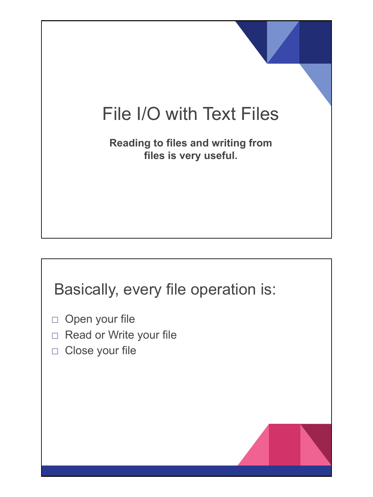# File I/O with Text Files

**Reading to files and writing from files is very useful.** 

## Basically, every file operation is:

- □ Open your file
- □ Read or Write your file
- □ Close your file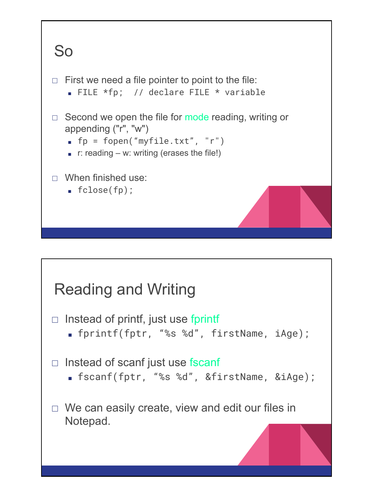

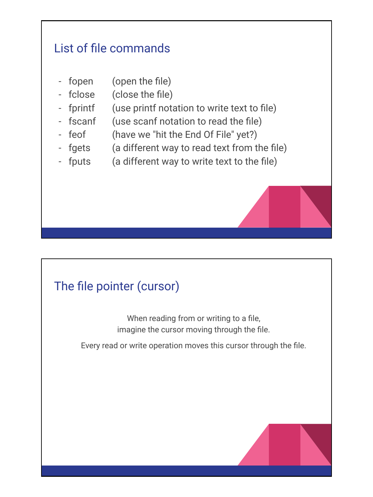### List of file commands

- fopen (open the file)
- fclose (close the file)
- fprintf (use printf notation to write text to file)
- fscanf (use scanf notation to read the file)
- feof (have we "hit the End Of File" yet?)
- fgets (a different way to read text from the file)
- fputs (a different way to write text to the file)

## The file pointer (cursor)

When reading from or writing to a file, imagine the cursor moving through the file.

Every read or write operation moves this cursor through the file.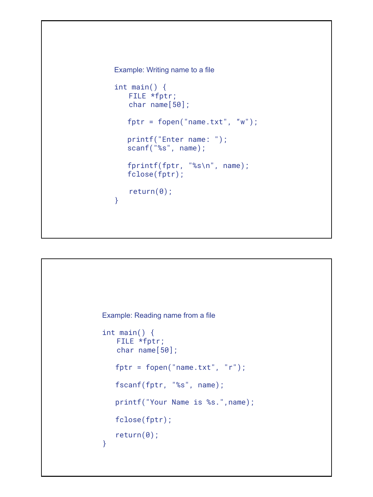```
Example: Writing name to a file
int main() \{FILE *fptr;
   char name[50]; 
    fptr = fopen("name.txt", "w");
    printf("Enter name: ");
    scanf("%s", name);
    fprintf(fptr, "%s\n", name);
    fclose(fptr);
  return(0);
}
```

```
Example: Reading name from a file
int main() \{FILE *fptr;
   char name[50]; 
    fptr = fopen("name.txt", "r");
    fscanf(fptr, "%s", name);
    printf("Your Name is %s.",name);
    fclose(fptr);
    return(0);
}
```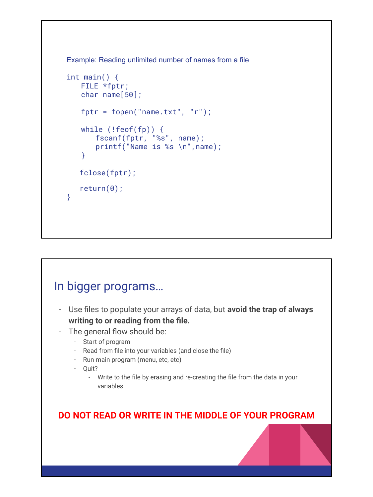Example: Reading unlimited number of names from a file

```
int main() \{FILE *fptr;
   char name[50]; 
   fptr = fopen("name.txt", "r");
   while (!foot(fp)) {fscanf(fptr, "%s", name);
      printf("Name is %s \n", name);
   }
    fclose(fptr);
    return(0);
}
```
#### In bigger programs…

- Use files to populate your arrays of data, but **avoid the trap of always writing to or reading from the file.**
- The general flow should be:
	- Start of program
	- Read from file into your variables (and close the file)
	- Run main program (menu, etc, etc)
	- Quit?
		- Write to the file by erasing and re-creating the file from the data in your variables

**DO NOT READ OR WRITE IN THE MIDDLE OF YOUR PROGRAM**